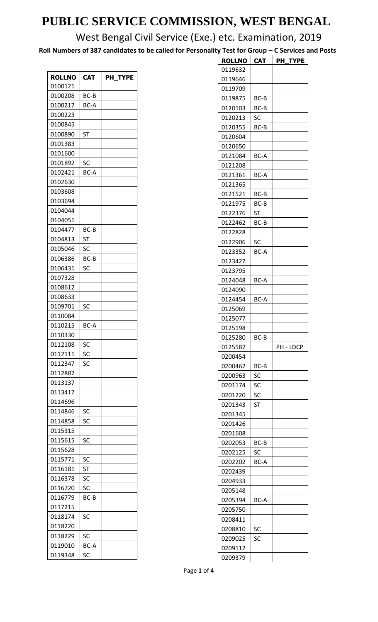West Bengal Civil Service (Exe.) etc. Examination, 2019

**Roll Numbers of 387 candidates to be called for Personality Test for Group – C Services and Posts**

| <b>ROLLNO</b> | <b>CAT</b> | PH TYPE |
|---------------|------------|---------|
| 0100121       |            |         |
|               |            |         |
| 0100208       | BC-B       |         |
| 0100217       | BC-A       |         |
| 0100223       |            |         |
| 0100845       |            |         |
| 0100890       | <b>ST</b>  |         |
| 0101383       |            |         |
| 0101600       |            |         |
| 0101892       | SC         |         |
| 0102421       | BC-A       |         |
| 0102630       |            |         |
| 0103608       |            |         |
| 0103694       |            |         |
| 0104044       |            |         |
| 0104051       |            |         |
| 0104477       | BC-B       |         |
| 0104813       | ST         |         |
| 0105046       | SC         |         |
| 0106386       | BC-B       |         |
| 0106431       | SC         |         |
| 0107328       |            |         |
| 0108612       |            |         |
| 0108633       |            |         |
| 0109701       | SC         |         |
| 0110084       |            |         |
| 0110215       | BC-A       |         |
| 0110330       |            |         |
| 0112108       | SC         |         |
| 0112111       | SC         |         |
| 0112347       | SC         |         |
| 0112887       |            |         |
|               |            |         |
| 0113137       |            |         |
| 0113417       |            |         |
| 0114696       |            |         |
| 0114846       | SC         |         |
| 0114858       | SC         |         |
| 0115315       |            |         |
| 0115615       | SC         |         |
| 0115628       |            |         |
| 0115771       | SC         |         |
| 0116181       | ST         |         |
| 0116378       | SC         |         |
| 0116720       | SC         |         |
| 0116779       | BC-B       |         |
| 0117215       |            |         |
| 0118174       | SC         |         |
| 0118220       |            |         |
| 0118229       | SC         |         |
| 0119010       | BC-A       |         |
| 0119348       | SC         |         |

| <b>ROLLNO</b>      | <b>CAT</b> | PH TYPE   |
|--------------------|------------|-----------|
| 0119632            |            |           |
| 0119646            |            |           |
| 0119709            |            |           |
| 0119875            | BC-B       |           |
| 0120103            | BC-B       |           |
| 0120213            | SC         |           |
| 0120355            | $BC-B$     |           |
| 0120604            |            |           |
| 0120650            |            |           |
| 0121084            | BC-A       |           |
| 0121208            |            |           |
| 0121361            | BC-A       |           |
| 0121365            |            |           |
| 0121521            | BC-B       |           |
| 0121975            | BC-B       |           |
| 0122376            | ST         |           |
| 0122462            | BC-B       |           |
| 0122828            |            |           |
| 0122906            | SC         |           |
| 0123352            | BC-A       |           |
| 0123427            |            |           |
| 0123795            |            |           |
| 0124048            | BC-A       |           |
| 0124090            |            |           |
| 0124454            |            |           |
| 0125069            | BC-A       |           |
|                    |            |           |
| 0125077<br>0125198 |            |           |
| 0125280            | BC-B       |           |
| 0125587            |            | PH - LDCP |
| 0200454            |            |           |
| 0200462            | BC-B       |           |
| 0200963            |            |           |
|                    | SC         |           |
| 0201174            | SC         |           |
| 0201220            | SC         |           |
| 0201343            | ST         |           |
| 0201345            |            |           |
| 0201426            |            |           |
| 0201608            |            |           |
| 0202053            | BC-B       |           |
| 0202125            | SC         |           |
| 0202202            | BC-A       |           |
| 0202439            |            |           |
| 0204933            |            |           |
| 0205148            |            |           |
| 0205394            | BC-A       |           |
| 0205750            |            |           |
| 0208411            |            |           |
| 0208810            | SC         |           |
| 0209025            | SC         |           |
| 0209112            |            |           |
| 0209379            |            |           |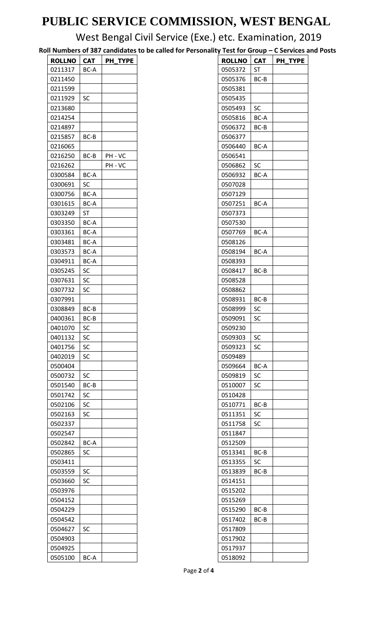West Bengal Civil Service (Exe.) etc. Examination, 2019

**Roll Numbers of 387 candidates to be called for Personality Test for Group – C Services and Posts**

| <b>ROLLNO</b> | CAT  | <b>PH TYPE</b> |
|---------------|------|----------------|
| 0211317       | BC-A |                |
| 0211450       |      |                |
| 0211599       |      |                |
| 0211929       | SC   |                |
| 0213680       |      |                |
| 0214254       |      |                |
| 0214897       |      |                |
| 0215857       | BC-B |                |
| 0216065       |      |                |
| 0216250       | BC-B | PH - VC        |
|               |      | PH - VC        |
| 0216262       |      |                |
| 0300584       | BC-A |                |
| 0300691       | SC   |                |
| 0300756       | BC-A |                |
| 0301615       | BC-A |                |
| 0303249       | ST   |                |
| 0303350       | BC-A |                |
| 0303361       | BC-A |                |
| 0303481       | BC-A |                |
| 0303573       | BC-A |                |
| 0304911       | BC-A |                |
| 0305245       | SC   |                |
| 0307631       | SC   |                |
| 0307732       | SC   |                |
| 0307991       |      |                |
| 0308849       | BC-B |                |
| 0400361       | BC-B |                |
| 0401070       | SC   |                |
| 0401132       | SC   |                |
| 0401756       | SC   |                |
| 0402019       | SC   |                |
| 0500404       |      |                |
| 0500732       | SC   |                |
| 0501540       | BC-B |                |
| 0501742       | SC   |                |
| 0502106       | SC   |                |
| 0502163       | SC   |                |
| 0502337       |      |                |
| 0502547       |      |                |
| 0502842       | BC-A |                |
| 0502865       | SC   |                |
| 0503411       |      |                |
| 0503559       | SC   |                |
|               |      |                |
| 0503660       | SC   |                |
| 0503976       |      |                |
| 0504152       |      |                |
| 0504229       |      |                |
| 0504542       |      |                |
| 0504627       | SC   |                |
| 0504903       |      |                |
| 0504925       |      |                |
| 0505100       | BC-A |                |

| <b>ROLLNO</b> | <b>CAT</b> | PH TYPE |
|---------------|------------|---------|
| 0505372       | ST         |         |
| 0505376       | BC-B       |         |
| 0505381       |            |         |
| 0505435       |            |         |
| 0505493       | SC         |         |
| 0505816       | BC-A       |         |
| 0506372       | BC-B       |         |
| 0506377       |            |         |
| 0506440       | BC-A       |         |
| 0506541       |            |         |
| 0506862       | SC         |         |
| 0506932       | BC-A       |         |
| 0507028       |            |         |
| 0507129       |            |         |
| 0507251       | BC-A       |         |
| 0507373       |            |         |
| 0507530       |            |         |
| 0507769       | BC-A       |         |
| 0508126       |            |         |
| 0508194       | BC-A       |         |
| 0508393       |            |         |
| 0508417       | BC-B       |         |
|               |            |         |
| 0508528       |            |         |
| 0508862       |            |         |
| 0508931       | BC-B       |         |
| 0508999       | SC         |         |
| 0509091       | SC         |         |
| 0509230       |            |         |
| 0509303       | SC         |         |
| 0509323       | SC         |         |
| 0509489       |            |         |
| 0509664       | BC-A       |         |
| 0509819       | SC         |         |
| 0510007       | SC         |         |
| 0510428       |            |         |
| 0510771       | BC-B       |         |
| 0511351       | SC         |         |
| 0511758       | SC         |         |
| 0511847       |            |         |
| 0512509       |            |         |
| 0513341       | BC-B       |         |
| 0513355       | SC         |         |
| 0513839       | BC-B       |         |
| 0514151       |            |         |
| 0515202       |            |         |
| 0515269       |            |         |
| 0515290       | BC-B       |         |
| 0517402       | BC-B       |         |
| 0517809       |            |         |
| 0517902       |            |         |
| 0517937       |            |         |
| 0518092       |            |         |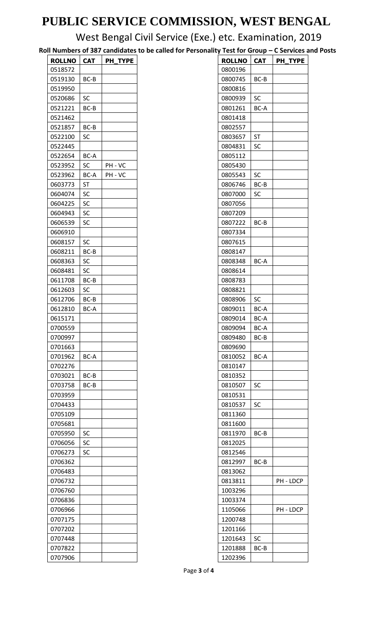West Bengal Civil Service (Exe.) etc. Examination, 2019

**Roll Numbers of 387 candidates to be called for Personality Test for Group – C Services and Posts**

| <b>ROLLNO</b> | <b>CAT</b>  | PH TYPE |
|---------------|-------------|---------|
| 0518572       |             |         |
| 0519130       | BC-B        |         |
| 0519950       |             |         |
| 0520686       | SC          |         |
| 0521221       | BC-B        |         |
|               |             |         |
| 0521462       |             |         |
| 0521857       | BC-B        |         |
| 0522100       | SC          |         |
| 0522445       |             |         |
| 0522654       | <b>BC-A</b> |         |
| 0523952       | SC          | PH - VC |
| 0523962       | BC-A        | PH - VC |
| 0603773       | ST          |         |
| 0604074       | SC          |         |
| 0604225       | SC          |         |
| 0604943       | SC          |         |
| 0606539       | SC          |         |
| 0606910       |             |         |
| 0608157       | SC          |         |
| 0608211       | BC-B        |         |
| 0608363       | SC          |         |
| 0608481       | SC          |         |
| 0611708       | BC-B        |         |
| 0612603       | SC          |         |
| 0612706       | BC-B        |         |
| 0612810       | BC-A        |         |
| 0615171       |             |         |
| 0700559       |             |         |
| 0700997       |             |         |
| 0701663       |             |         |
| 0701962       | BC-A        |         |
| 0702276       |             |         |
| 0703021       | BC-B        |         |
| 0703758       | BC-B        |         |
| 0703959       |             |         |
| 0704433       |             |         |
|               |             |         |
| 0705109       |             |         |
| 0705681       |             |         |
| 0705950       | SC          |         |
| 0706056       | SC          |         |
| 0706273       | SC          |         |
| 0706362       |             |         |
| 0706483       |             |         |
| 0706732       |             |         |
| 0706760       |             |         |
| 0706836       |             |         |
| 0706966       |             |         |
| 0707175       |             |         |
| 0707202       |             |         |
| 0707448       |             |         |
| 0707822       |             |         |
| 0707906       |             |         |

| <b>ROLLNO</b> | <b>CAT</b>  | PH TYPE   |
|---------------|-------------|-----------|
| 0800196       |             |           |
| 0800745       | BC-B        |           |
| 0800816       |             |           |
| 0800939       | SC          |           |
| 0801261       | BC-A        |           |
| 0801418       |             |           |
| 0802557       |             |           |
| 0803657       | <b>ST</b>   |           |
| 0804831       | SC          |           |
| 0805112       |             |           |
| 0805430       |             |           |
| 0805543       | SC          |           |
|               |             |           |
| 0806746       | BC-B        |           |
| 0807000       | SC          |           |
| 0807056       |             |           |
| 0807209       |             |           |
| 0807222       | BC-B        |           |
| 0807334       |             |           |
| 0807615       |             |           |
| 0808147       |             |           |
| 0808348       | <b>BC-A</b> |           |
| 0808614       |             |           |
| 0808783       |             |           |
| 0808821       |             |           |
| 0808906       | SC          |           |
| 0809011       | BC-A        |           |
| 0809014       | BC-A        |           |
| 0809094       | BC-A        |           |
| 0809480       | BC-B        |           |
| 0809690       |             |           |
| 0810052       | BC-A        |           |
| 0810147       |             |           |
| 0810352       |             |           |
| 0810507       | SC          |           |
| 0810531       |             |           |
| 0810537       | SC          |           |
| 0811360       |             |           |
| 0811600       |             |           |
| 0811970       | BC-B        |           |
| 0812025       |             |           |
| 0812546       |             |           |
|               |             |           |
| 0812997       | BC-B        |           |
| 0813062       |             |           |
| 0813811       |             | PH - LDCP |
| 1003296       |             |           |
| 1003374       |             |           |
| 1105066       |             | PH - LDCP |
| 1200748       |             |           |
| 1201166       |             |           |
| 1201643       | SC          |           |
| 1201888       | BC-B        |           |
| 1202396       |             |           |